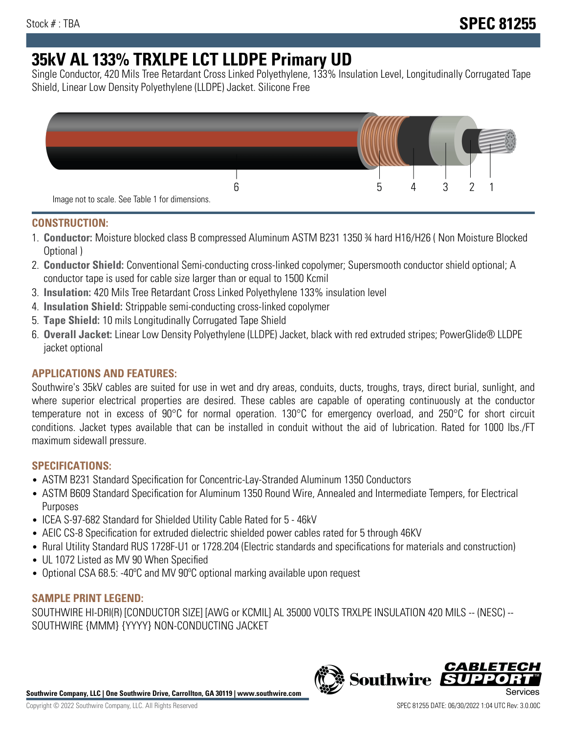# **35kV AL 133% TRXLPE LCT LLDPE Primary UD**

Single Conductor, 420 Mils Tree Retardant Cross Linked Polyethylene, 133% Insulation Level, Longitudinally Corrugated Tape Shield, Linear Low Density Polyethylene (LLDPE) Jacket. Silicone Free



## **CONSTRUCTION:**

- 1. **Conductor:** Moisture blocked class B compressed Aluminum ASTM B231 1350 ¾ hard H16/H26 ( Non Moisture Blocked Optional )
- 2. **Conductor Shield:** Conventional Semi-conducting cross-linked copolymer; Supersmooth conductor shield optional; A conductor tape is used for cable size larger than or equal to 1500 Kcmil
- 3. **Insulation:** 420 Mils Tree Retardant Cross Linked Polyethylene 133% insulation level
- 4. **Insulation Shield:** Strippable semi-conducting cross-linked copolymer
- 5. **Tape Shield:** 10 mils Longitudinally Corrugated Tape Shield
- 6. **Overall Jacket:** Linear Low Density Polyethylene (LLDPE) Jacket, black with red extruded stripes; PowerGlide® LLDPE jacket optional

# **APPLICATIONS AND FEATURES:**

Southwire's 35kV cables are suited for use in wet and dry areas, conduits, ducts, troughs, trays, direct burial, sunlight, and where superior electrical properties are desired. These cables are capable of operating continuously at the conductor temperature not in excess of 90°C for normal operation. 130°C for emergency overload, and 250°C for short circuit conditions. Jacket types available that can be installed in conduit without the aid of lubrication. Rated for 1000 lbs./FT maximum sidewall pressure.

## **SPECIFICATIONS:**

- ASTM B231 Standard Specification for Concentric-Lay-Stranded Aluminum 1350 Conductors
- ASTM B609 Standard Specification for Aluminum 1350 Round Wire, Annealed and Intermediate Tempers, for Electrical Purposes
- ICEA S-97-682 Standard for Shielded Utility Cable Rated for 5 46kV
- AEIC CS-8 Specification for extruded dielectric shielded power cables rated for 5 through 46KV
- Rural Utility Standard RUS 1728F-U1 or 1728.204 (Electric standards and specifications for materials and construction)
- UL 1072 Listed as MV 90 When Specified
- Optional CSA 68.5: -40ºC and MV 90ºC optional marking available upon request

## **SAMPLE PRINT LEGEND:**

SOUTHWIRE HI-DRI(R) [CONDUCTOR SIZE] [AWG or KCMIL] AL 35000 VOLTS TRXLPE INSULATION 420 MILS -- (NESC) -- SOUTHWIRE {MMM} {YYYY} NON-CONDUCTING JACKET

**Southwire Company, LLC | One Southwire Drive, Carrollton, GA 30119 | www.southwire.com**